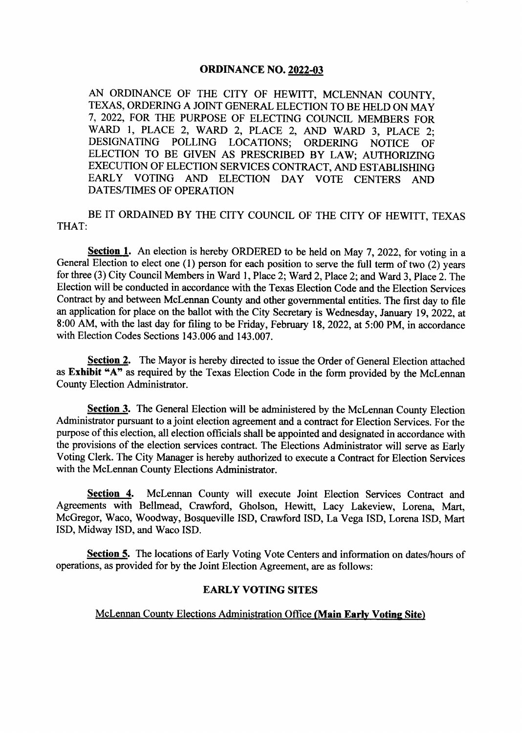#### **ORDINANCE NO. 2022-03**

AN ORDINANCE OF THE CITY OF HEWITT, MCLENNAN COUNTY, TEXAS, ORDERING A JOINT GENERAL ELECTION TO BE HELD ON MAY 7, 2022, FOR THE PURPOSE OF ELECTING COUNCIL MEMBERS FOR WARD 1, PLACE 2, WARD 2, PLACE 2, AND WARD 3, PLACE 2;<br>DESIGNATING POLLING LOCATIONS: ORDERING NOTICE OF POLLING LOCATIONS; ORDERING NOTICE OF ELECTION TO BE GIVEN AS PRESCRIBED BY LAW; AUTHORIZING EXECUTION OF ELECTION SERVICES CONTRACT, AND ESTABLISHING EARLY VOTING AND ELECTION DAY VOTE CENTERS AND DATES/TIMES OF OPERATION

BE IT ORDAINED BY THE CITY COUNCIL OF THE CITY OF HEWITT, TEXAS THAT:

Section 1. An election is hereby ORDERED to be held on May 7, 2022, for voting in a General Election to elect one  $(1)$  person for each position to serve the full term of two  $(2)$  years for three( 3) City Council Members in Ward 1, Place 2; Ward 2, Place 2; and Ward 3, Place 2. The Election will be conducted in accordance with the Texas Election Code and the Election Services Contract by and between McLennan County and other governmental entities. The first day to file an application for place on the ballot with the City Secretary is Wednesday, January 19, 2022, at 8:00 AM, with the last day for filing to be Friday, February 18, 2022, at 5:00 PM, in accordance with Election Codes Sections 143. 006 and 143.007.

Section 2. The Mayor is hereby directed to issue the Order of General Election attached as Exhibit "A" as required by the Texas Election Code in the form provided by the McLennan County Election Administrator.

Section 3. The General Election will be administered by the McLennan County Election Administrator pursuant to a joint election agreement and a contract for Election Services. For the purpose of this election, all election officials shall be appointed and designated in accordance with the provisions of the election services contract. The Elections Administrator will serve as Early Voting Clerk. The City Manager is hereby authorized to execute a Contract for Election Services with the McLennan County Elections Administrator.

Section 4. McLennan County will execute Joint Election Services Contract and Agreements with Bellmead, Crawford, Gholson, Hewitt, Lacy Lakeview, Lorena, Mart, McGregor, Waco, Woodway, Bosqueville ISD, Crawford ISD, La Vega ISD, Lorena ISD, Mart ISD, Midway ISD, and Waco ISD.

Section 5. The locations of Early Voting Vote Centers and information on dates/hours of operations, as provided for by the Joint Election Agreement, are as follows:

#### EARLY VOTING SITES

#### McLennan County Elections Administration Office (Main Early Voting Site)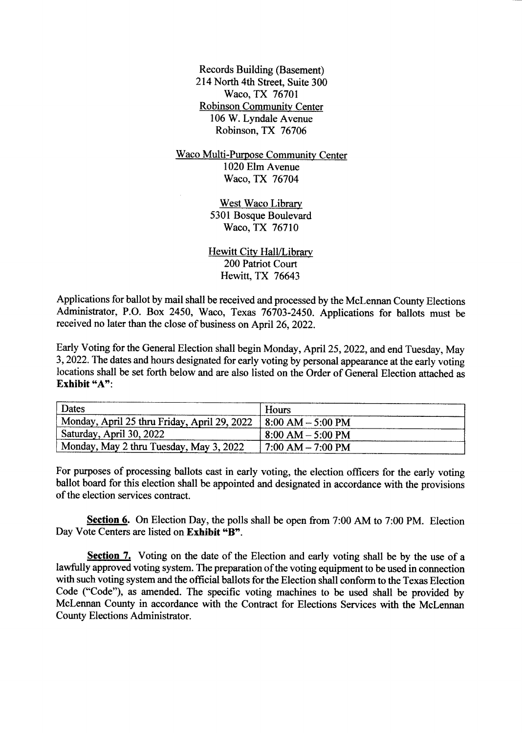Records Building (Basement) 214 North 4th Street, Suite 300 Waco, TX 76701 Robinson Community Center 106 W. Lyndale Avenue Robinson, TX 76706

Waco Multi-Purpose Community Center 1020 Elm Avenue Waco, TX 76704

> West Waco Library 5301 Bosque Boulevard Waco, TX 76710

Hewitt City Hall/Library 200 Patriot Court Hewitt, TX 76643

Applications for ballot by mail shall be received and processed by the McLennan County Elections Administrator, P.O. Box 2450, Waco, Texas 76703-2450. Applications for ballots must be received no later than the close of business on April 26, 2022.

Early Voting for the General Election shall begin Monday, April 25, 2022, and end Tuesday, May 3, 2022. The dates and hours designated for early voting by personal appearance at the early voting locations shall be set forth below and are also listed on the Order of General Election attached as Exhibit "A":

| Dates                                                            | Hours                     |
|------------------------------------------------------------------|---------------------------|
| Monday, April 25 thru Friday, April 29, 2022   8:00 AM - 5:00 PM |                           |
| Saturday, April 30, 2022                                         | $+8:00 AM - 5:00 PM$      |
| Monday, May 2 thru Tuesday, May 3, 2022                          | $\pm 7:00$ AM $- 7:00$ PM |

For purposes of processing ballots cast in early voting, the election officers for the early voting ballot board for this election shall be appointed and designated in accordance with the provisions of the election services contract.

Section 6. On Election Day, the polls shall be open from 7:00 AM to 7:00 PM. Election Day Vote Centers are listed on Exhibit "B".

Section 7. Voting on the date of the Election and early voting shall be by the use of a lawfully approved voting system. The preparation of the voting equipment to be used in connection with such voting system and the official ballots for the Election shall conform to the Texas Election Code ("Code"), as amended. The specific voting machines to be used shall be provided by McLennan County in accordance with the Contract for Elections Services with the McLennan County Elections Administrator.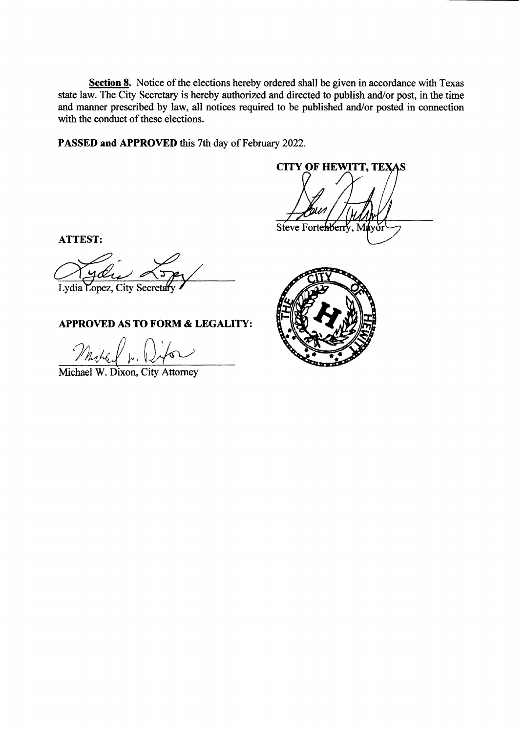Section 8. Notice of the elections hereby ordered shall be given in accordance with Texas state law. The City Secretary is hereby authorized and directed to publish and/or post, in the time and manner prescribed by law, all notices required to be published and/or posted in connection with the conduct of these elections.

PASSED and APPROVED this 7th day of February 2022.

**CITY OF HEWITT, TEXAS** Steve Fortewberry, M

**ATTEST:** 

ydi Lydia Lopez, City Secretary

## **APPROVED AS TO FORM & LEGALITY:**

Milled w. Who

Michael W. Dixon, City Attorney

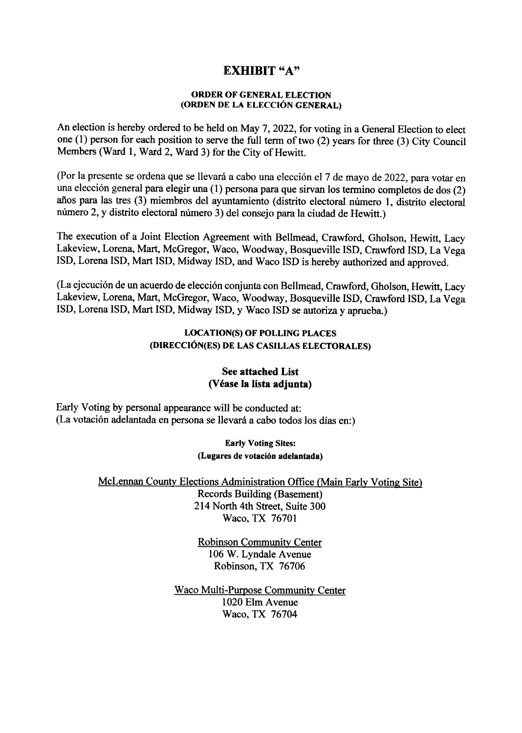# EXHIBIT "A"

#### ORDER OF GENERAL ELECTION ORDEN DE LA ELECCION GENERAL)

An election is hereby ordered to be held on May 7, 2022, for voting in a General Election to elect one (1) person for each position to serve the full term of two (2) years for three (3) City Council Members( Ward 1, Ward 2, Ward 3) for the City of Hewitt.

(Por la presente se ordena que se llevará a cabo una elección el 7 de mayo de 2022, para votar en una elección general para elegir una (1) persona para que sirvan los termino completos de dos (2) años para las tres (3) miembros del ayuntamiento (distrito electoral número 1, distrito electoral número 2, y distrito electoral número 3) del consejo para la ciudad de Hewitt.)

The execution of a Joint Election Agreement with Bellmead, Crawford, Gholson, Hewitt, Lacy Lakeview, Lorena, Mart, McGregor, Waco, Woodway, Bosqueville ISD, Crawford ISD, La Vega ISD, Lorena ISD, Mart ISD, Midway ISD, and Waco ISD is hereby authorized and approved.

La ejecucion de un acuerdo de eleccion conjunta con Bellmead, Crawford, Gholson, Hewitt, Lacy Lakeview, Lorena, Mart, McGregor, Waco, Woodway, Bosqueville ISD, Crawford ISD, La Vega ISD, Lorena ISD, Mart ISD, Midway ISD, y Waco ISD se autoriza y aprueba.)

### LOCATION(S) OF POLLING PLACES (DIRECCIÓN(ES) DE LAS CASILLAS ELECTORALES)

### See attached List Vease la lista adjunta)

Early Voting by personal appearance will be conducted at: (La votación adelantada en persona se llevará a cabo todos los días en:)

#### Early Voting Sites: (Lugares de votación adelantada)

McLennan County Elections Administration Office( Main Early Voting Site)

Records Building( Basement) 214 North 4th Street, Suite 300 Waco, TX 76701

Robinson Community Center 106 W. Lyndale Avenue Robinson, TX 76706

Waco Multi-Purpose Community Center 1020 Elm Avenue Waco, TX 76704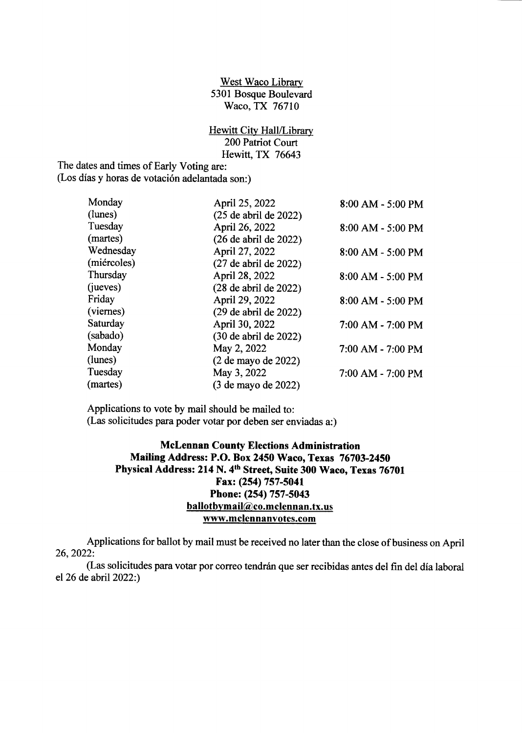West Waco Library 5301 Bosque Boulevard Waco, TX 76710

Hewitt City Hall/Library 200 Patriot Court Hewitt, TX 76643

The dates and times of Early Voting are: (Los días y horas de votación adelantada son:)

| Monday      | April 25, 2022             | 8:00 AM - 5:00 PM |
|-------------|----------------------------|-------------------|
| (lunes)     | $(25$ de abril de $2022)$  |                   |
| Tuesday     | April 26, 2022             | 8:00 AM - 5:00 PM |
| (martes)    | $(26$ de abril de $2022)$  |                   |
| Wednesday   | April 27, 2022             | 8:00 AM - 5:00 PM |
| (miércoles) | $(27$ de abril de $2022)$  |                   |
| Thursday    | April 28, 2022             | 8:00 AM - 5:00 PM |
| (jueves)    | $(28$ de abril de $2022)$  |                   |
| Friday      | April 29, 2022             | 8:00 AM - 5:00 PM |
| (viernes)   | $(29$ de abril de $2022$ ) |                   |
| Saturday    | April 30, 2022             | 7:00 AM - 7:00 PM |
| (sabado)    | (30 de abril de 2022)      |                   |
| Monday      | May 2, 2022                | 7:00 AM - 7:00 PM |
| (lunes)     | (2 de mayo de 2022)        |                   |
| Tuesday     | May 3, 2022                | 7:00 AM - 7:00 PM |
| (martes)    | (3 de mayo de 2022)        |                   |

Applications to vote by mail should be mailed to: Las solicitudes para poder votar por deben ser enviadas a:)

### McLennan County Elections Administration Mailing Address: P.O. Box 2450 Waco, Texas 76703-2450 Physical Address: 214 N. 4th Street, Suite 300 Waco, Texas 76701 Fax: (254) 757-5041 Phone: (254) 757-5043 ballotbymail@co.mclennan.tx.us www.mclennanvotes.com

Applications for ballot by mail must be received no later than the close of business on April 26, 2022:

Las solicitudes para votar por correo tendran que ser recibidas antes del fin del dia laboral el 26 de abril 2022:)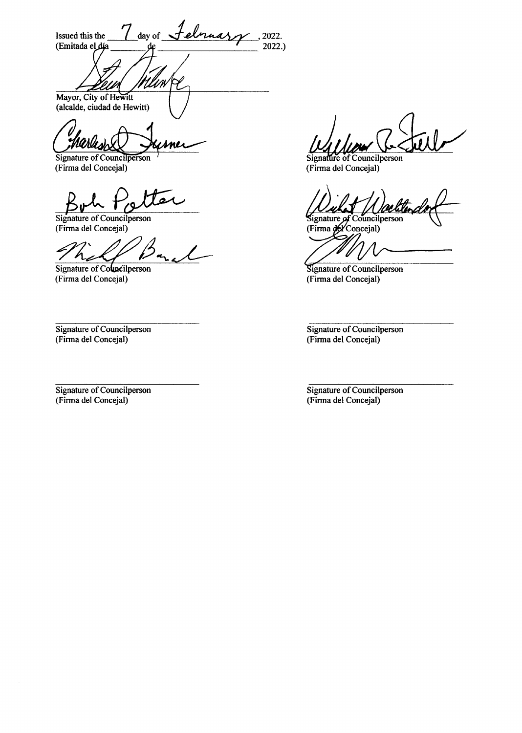day of Jelmuary Issued this the 2022. (Emitada el día  $2022.$ 

rlliw Mayor, City of Hewitt (alcalde, ciudad de Hewitt)

Signature of Councilperson (Firma del Concejal)

Signature of Councilperson (Firma del Concejal)

Signature of Councilperson (Firma del Concejal)

Signature of Councilperson (Firma del Concejal)

Signature of Councilperson (Firma del Concejal)

 $\bar{z}$ 

Signature of Councilperson (Firma del Concejal)

Signature of Councilperson<br>(Firma del Concejal)

Signature of Councilperson (Firma del Concejal)

Signature of Councilperson (Firma del Concejal)

Signature of Councilperson (Firma del Concejal)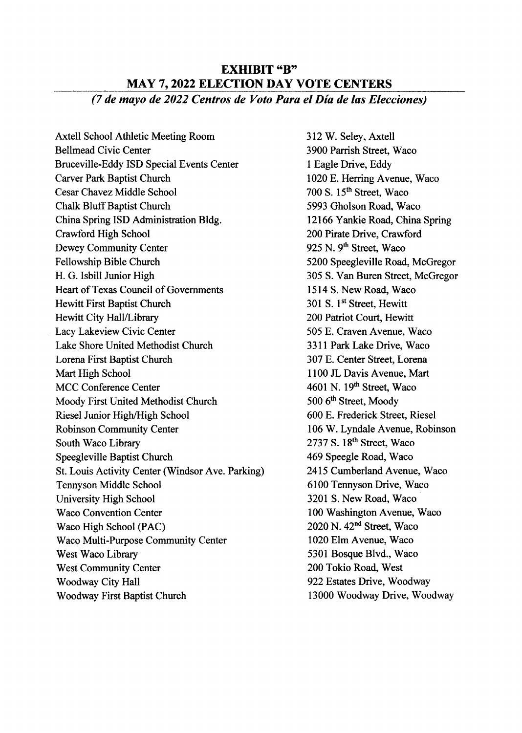# EXHIBIT "B" MAY 7, 2022 ELECTION DAY VOTE CENTERS 7 de mayo de 2022 Centros de Voto Para el Dia de las Elecciones)

Axtell School Athletic Meeting Room 312 W. Seley, Axtell Bellmead Civic Center 3900 Parrish Street, Waco Bruceville-Eddy ISD Special Events Center 1 Eagle Drive, Eddy<br>Carver Park Baptist Church 1020 E. Herring Ave Cesar Chavez Middle School Chalk Bluff Baptist Church 5993 Gholson Road, Waco China Spring ISD Administration Bldg. 12166 Yankie Road, China Spring Crawford High School 200 Pirate Drive, Crawford Dewey Community Center 925 N. 9<sup>th</sup> Street, Waco<br>Fellowship Bible Church 5200 Speegleville Road H. G. Isbill Junior High 305 S. Van Buren Street, McGregor Heart of Texas Council of Governments <sup>1514</sup> S. New Road, Waco Hewitt First Baptist Church 301 S. 1st Street, Hewitt Hewitt City Hall/Library 200 Patriot Court, Hewitt Lacy Lakeview Civic Center 505 E. Craven Avenue, Waco Lake Shore United Methodist Church 3311 Park Lake Drive, Waco Lorena First Baptist Church 307 E. Center Street, Lorena Mart High School 1100 JL Davis Avenue, Mart MCC Conference Center 1601 N. 19<sup>th</sup> Street, Waco Moody First United Methodist Church 500 6<sup>th</sup> Street, Moody Riesel Junior High/High School 600 E. Frederick Street, Riesel Robinson Community Center 106 W. Lyndale Avenue, Robinson South Waco Library 2737 S. 18<sup>th</sup> Street, Waco Speegleville Baptist Church 469 Speegle Road, Waco St. Louis Activity Center( Windsor Ave. Parking) <sup>2415</sup> Cumberland Avenue, Waco Tennyson Middle School 6100 Tennyson Drive, Waco University High School 3201 S. New Road, Waco Waco Convention Center 100 Washington Avenue, Waco Waco High School (PAC) 2020 N. 42<sup>nd</sup> Street, Waco Waco Multi-Purpose Community Center 1020 Elm Avenue, Waco West Waco Library 5301 Bosque Blvd., Waco West Community Center 200 Tokio Road, West Woodway City Hall 922 Estates Drive, Woodway Woodway First Baptist Church <sup>13000</sup> Woodway Drive, Woodway

1020 E. Herring Avenue, Waco<br>700 S.  $15<sup>th</sup>$  Street, Waco 5200 Speegleville Road, McGregor